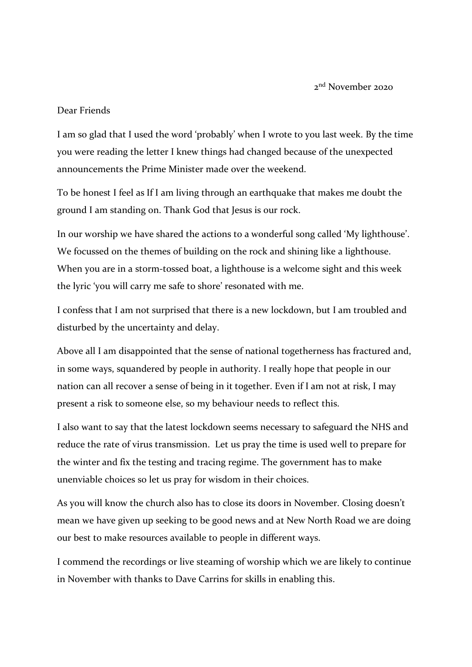2<sup>nd</sup> November 2020

## Dear Friends

I am so glad that I used the word 'probably' when I wrote to you last week. By the time you were reading the letter I knew things had changed because of the unexpected announcements the Prime Minister made over the weekend.

To be honest I feel as If I am living through an earthquake that makes me doubt the ground I am standing on. Thank God that Jesus is our rock.

In our worship we have shared the actions to a wonderful song called 'My lighthouse'. We focussed on the themes of building on the rock and shining like a lighthouse. When you are in a storm-tossed boat, a lighthouse is a welcome sight and this week the lyric 'you will carry me safe to shore' resonated with me.

I confess that I am not surprised that there is a new lockdown, but I am troubled and disturbed by the uncertainty and delay.

Above all I am disappointed that the sense of national togetherness has fractured and, in some ways, squandered by people in authority. I really hope that people in our nation can all recover a sense of being in it together. Even if I am not at risk, I may present a risk to someone else, so my behaviour needs to reflect this.

I also want to say that the latest lockdown seems necessary to safeguard the NHS and reduce the rate of virus transmission. Let us pray the time is used well to prepare for the winter and fix the testing and tracing regime. The government has to make unenviable choices so let us pray for wisdom in their choices.

As you will know the church also has to close its doors in November. Closing doesn't mean we have given up seeking to be good news and at New North Road we are doing our best to make resources available to people in different ways.

I commend the recordings or live steaming of worship which we are likely to continue in November with thanks to Dave Carrins for skills in enabling this.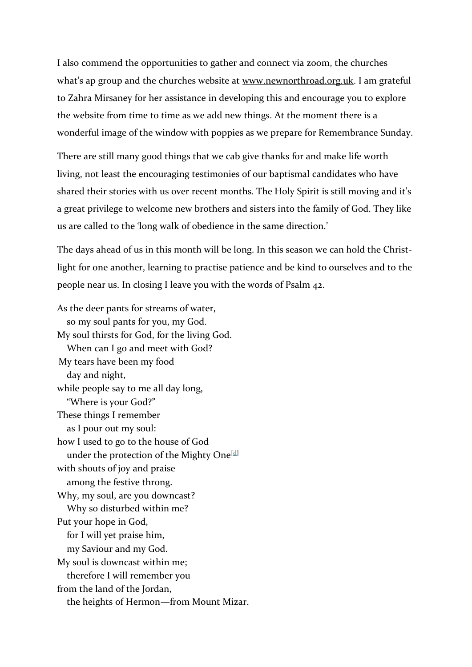I also commend the opportunities to gather and connect via zoom, the churches what's ap group and the churches website at [www.newnorthroad.org.uk.](http://www.newnorthroad.org.uk/) I am grateful to Zahra Mirsaney for her assistance in developing this and encourage you to explore the website from time to time as we add new things. At the moment there is a wonderful image of the window with poppies as we prepare for Remembrance Sunday.

There are still many good things that we cab give thanks for and make life worth living, not least the encouraging testimonies of our baptismal candidates who have shared their stories with us over recent months. The Holy Spirit is still moving and it's a great privilege to welcome new brothers and sisters into the family of God. They like us are called to the 'long walk of obedience in the same direction.'

The days ahead of us in this month will be long. In this season we can hold the Christlight for one another, learning to practise patience and be kind to ourselves and to the people near us. In closing I leave you with the words of Psalm 42.

As the deer pants for streams of water, so my soul pants for you, my God. My soul thirsts for God, for the living God. When can I go and meet with God? My tears have been my food day and night, while people say to me all day long, "Where is your God?" These things I remember as I pour out my soul: how I used to go to the house of God under the protection of the Mighty One<sup>[\[d\]](https://www.biblegateway.com/passage/?search=Psalm%2042&version=NIV#fen-NIV-14560d)</sup> with shouts of joy and praise among the festive throng. Why, my soul, are you downcast? Why so disturbed within me? Put your hope in God, for I will yet praise him, my Saviour and my God. My soul is downcast within me; therefore I will remember you from the land of the Jordan, the heights of Hermon—from Mount Mizar.